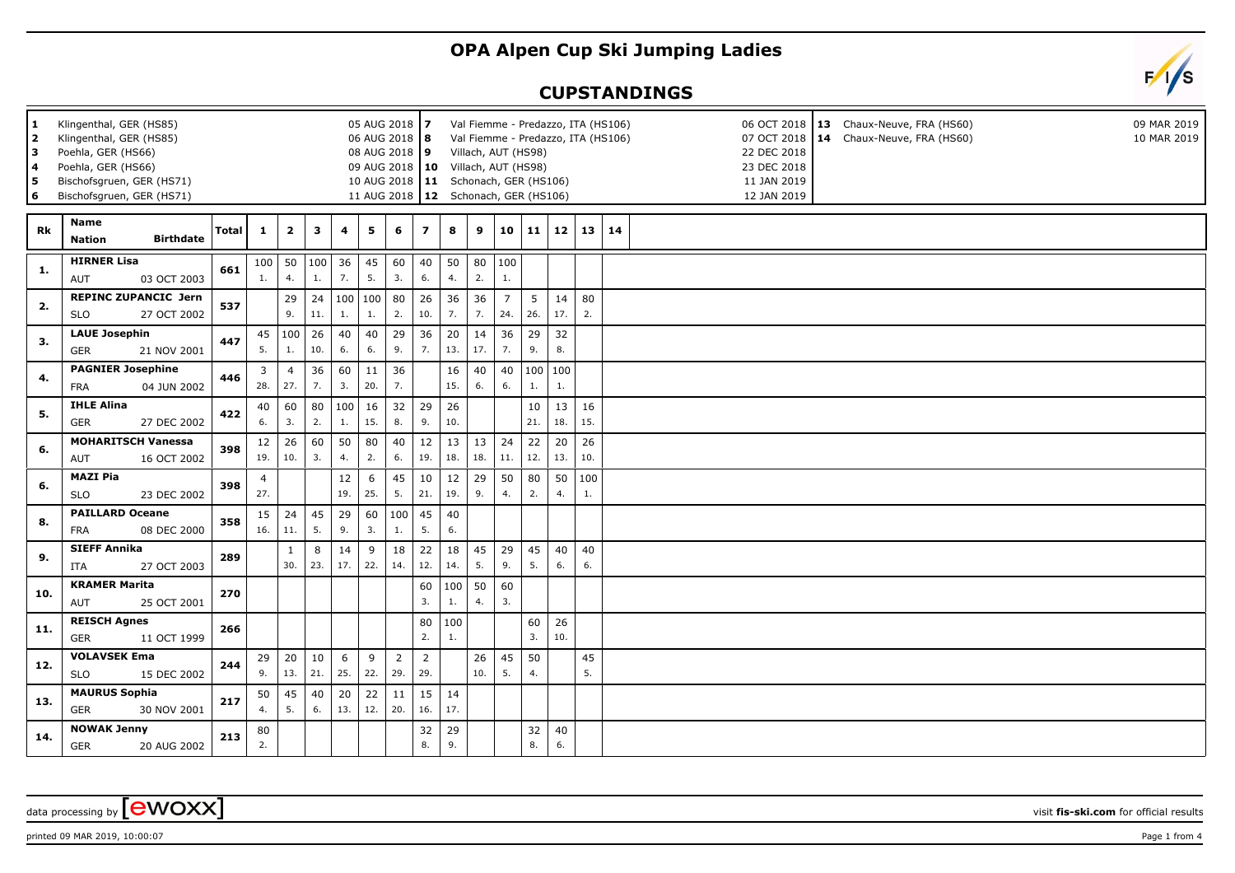## **OPA Alpen Cup Ski Jumping Ladies**

## **CUPSTANDINGS**



| 1<br>05 AUG 2018 7<br>Klingenthal, GER (HS85)<br>2<br>Klingenthal, GER (HS85)<br>06 AUG 2018   8<br>lЗ<br>Poehla, GER (HS66)<br>08 AUG 2018 9<br>4<br>Poehla, GER (HS66)<br>09 AUG 2018   10<br>Bischofsgruen, GER (HS71)<br>5<br>$6 \nightharpoonup$<br>Bischofsgruen, GER (HS71) |                                                          |              |           |                         |                     |                |           |                       |                         |           |           |           | Val Fiemme - Predazzo, ITA (HS106)<br>06 OCT 2018   13 Chaux-Neuve, FRA (HS60)<br>09 MAR 2019<br>Val Fiemme - Predazzo, ITA (HS106)<br>07 OCT 2018   14 Chaux-Neuve, FRA (HS60)<br>10 MAR 2019<br>Villach, AUT (HS98)<br>22 DEC 2018<br>Villach, AUT (HS98)<br>23 DEC 2018<br>10 AUG 2018   11 Schonach, GER (HS106)<br>11 JAN 2019<br>11 AUG 2018   12 Schonach, GER (HS106)<br>12 JAN 2019 |           |                |    |  |  |  |  |  |  |  |
|------------------------------------------------------------------------------------------------------------------------------------------------------------------------------------------------------------------------------------------------------------------------------------|----------------------------------------------------------|--------------|-----------|-------------------------|---------------------|----------------|-----------|-----------------------|-------------------------|-----------|-----------|-----------|----------------------------------------------------------------------------------------------------------------------------------------------------------------------------------------------------------------------------------------------------------------------------------------------------------------------------------------------------------------------------------------------|-----------|----------------|----|--|--|--|--|--|--|--|
| Rk                                                                                                                                                                                                                                                                                 | <b>Name</b><br><b>Birthdate</b><br><b>Nation</b>         | <b>Total</b> | 1         | $\overline{\mathbf{2}}$ | 3                   | $\overline{4}$ | 5         | 6                     | $\overline{\mathbf{z}}$ | 8         | 9         | 10        | 11                                                                                                                                                                                                                                                                                                                                                                                           | 12        | 13             | 14 |  |  |  |  |  |  |  |
| 1.                                                                                                                                                                                                                                                                                 | <b>HIRNER Lisa</b><br>03 OCT 2003<br><b>AUT</b>          | 661          | 100<br>1. | 50<br>4.                | $ 100\rangle$<br>1. | 36<br>7.       | 45<br>5.  | 60<br>3.              | 40<br>6.                | 50<br>4.  | 80<br>2.  | 100<br>1. |                                                                                                                                                                                                                                                                                                                                                                                              |           |                |    |  |  |  |  |  |  |  |
| 2.                                                                                                                                                                                                                                                                                 | <b>REPINC ZUPANCIC Jern</b><br><b>SLO</b><br>27 OCT 2002 | 537          |           | 29<br>9.                | 24<br>11.           | 100<br>1.      | 100<br>1. | 80<br>2.              | 26<br>10.               | 36<br>7.  | 36<br>7.  | 7<br>24.  | 5<br>26.                                                                                                                                                                                                                                                                                                                                                                                     | 14<br>17. | 80<br>2.       |    |  |  |  |  |  |  |  |
| 3.                                                                                                                                                                                                                                                                                 | <b>LAUE Josephin</b><br><b>GER</b><br>21 NOV 2001        | 447          | 45<br>5.  | 100<br>1.               | 26<br>10.           | 40<br>6.       | 40<br>6.  | 29<br>9.              | 36<br>7.                | 20<br>13. | 14<br>17. | 36<br>7.  | 29<br>9.                                                                                                                                                                                                                                                                                                                                                                                     | 32<br>8.  |                |    |  |  |  |  |  |  |  |
| 4.                                                                                                                                                                                                                                                                                 | <b>PAGNIER Josephine</b><br><b>FRA</b><br>04 JUN 2002    | 446          | 3<br>28.  | $\overline{4}$<br>27.   | 36<br>7.            | 60<br>3.       | 11<br>20. | 36<br>7.              |                         | 16<br>15. | 40<br>6.  | 40<br>6.  | 100<br>1.                                                                                                                                                                                                                                                                                                                                                                                    | 100<br>1. |                |    |  |  |  |  |  |  |  |
| 5.                                                                                                                                                                                                                                                                                 | <b>IHLE Alina</b><br><b>GER</b><br>27 DEC 2002           | 422          | 40<br>6.  | 60<br>3.                | 80<br>2.            | 100<br>1.      | 16<br>15. | 32<br>8.              | 29<br>9.                | 26<br>10. |           |           | 10<br>21.                                                                                                                                                                                                                                                                                                                                                                                    | 13<br>18. | 16<br>15.      |    |  |  |  |  |  |  |  |
| 6.                                                                                                                                                                                                                                                                                 | <b>MOHARITSCH Vanessa</b><br>AUT<br>16 OCT 2002          | 398          | 12<br>19. | 26<br>10.               | 60<br>3.            | 50<br>4.       | 80<br>2.  | 40<br>6.              | 12<br>19.               | 13<br>18. | 13<br>18. | 24<br>11. | 22<br>12.                                                                                                                                                                                                                                                                                                                                                                                    | 20<br>13. | 26<br>10.      |    |  |  |  |  |  |  |  |
| 6.                                                                                                                                                                                                                                                                                 | <b>MAZI Pia</b><br><b>SLO</b><br>23 DEC 2002             | 398          | 4<br>27.  |                         |                     | 12<br>19.      | 6<br>25.  | 45<br>5.              | 10<br>21.               | 12<br>19. | 29<br>9.  | 50<br>4.  | 80<br>2.                                                                                                                                                                                                                                                                                                                                                                                     | 4.        | 50   100<br>1. |    |  |  |  |  |  |  |  |
| 8.                                                                                                                                                                                                                                                                                 | <b>PAILLARD Oceane</b><br><b>FRA</b><br>08 DEC 2000      | 358          | 15<br>16. | 24<br>11.               | 45<br>5.            | 29<br>9.       | 60<br>3.  | 100<br>1.             | 45<br>5.                | 40<br>6.  |           |           |                                                                                                                                                                                                                                                                                                                                                                                              |           |                |    |  |  |  |  |  |  |  |
| 9.                                                                                                                                                                                                                                                                                 | <b>SIEFF Annika</b><br>ITA<br>27 OCT 2003                | 289          |           | $\mathbf{1}$<br>30.     | 8<br>23.            | 14<br>17.      | 9<br>22.  | 18<br>14.             | 22<br>12.               | 18<br>14. | 45<br>5.  | 29<br>9.  | 45<br>5.                                                                                                                                                                                                                                                                                                                                                                                     | 40<br>6.  | 40<br>6.       |    |  |  |  |  |  |  |  |
| 10.                                                                                                                                                                                                                                                                                | <b>KRAMER Marita</b><br>AUT<br>25 OCT 2001               | 270          |           |                         |                     |                |           |                       | 60<br>3.                | 100<br>1. | 50<br>4.  | 60<br>3.  |                                                                                                                                                                                                                                                                                                                                                                                              |           |                |    |  |  |  |  |  |  |  |
| 11.                                                                                                                                                                                                                                                                                | <b>REISCH Agnes</b><br>11 OCT 1999<br><b>GER</b>         | 266          |           |                         |                     |                |           |                       | 80<br>2.                | 100<br>1. |           |           | 60<br>3.                                                                                                                                                                                                                                                                                                                                                                                     | 26<br>10. |                |    |  |  |  |  |  |  |  |
| 12.                                                                                                                                                                                                                                                                                | <b>VOLAVSEK Ema</b><br><b>SLO</b><br>15 DEC 2002         | 244          | 29<br>9.  | 20<br>13.               | 10<br>21.           | 6<br>25.       | 9<br>22.  | $\overline{2}$<br>29. | $\overline{2}$<br>29.   |           | 26<br>10. | 45<br>5.  | 50<br>4.                                                                                                                                                                                                                                                                                                                                                                                     |           | 45<br>5.       |    |  |  |  |  |  |  |  |
| 13.                                                                                                                                                                                                                                                                                | <b>MAURUS Sophia</b><br><b>GER</b><br>30 NOV 2001        | 217          | 50<br>4.  | 45<br>5.                | 40<br>6.            | 20<br>13.      | 22<br>12. | 11<br>20.             | 15<br>16.               | 14<br>17. |           |           |                                                                                                                                                                                                                                                                                                                                                                                              |           |                |    |  |  |  |  |  |  |  |
| 14.                                                                                                                                                                                                                                                                                | <b>NOWAK Jenny</b><br><b>GER</b><br>20 AUG 2002          | 213          | 80<br>2.  |                         |                     |                |           |                       | 32<br>8.                | 29<br>9.  |           |           | 32<br>8.                                                                                                                                                                                                                                                                                                                                                                                     | 40<br>6.  |                |    |  |  |  |  |  |  |  |

data processing by **CWOXX** visit fis-ski.com for official results

printed 09 MAR 2019, 10:00:07 Page 1 from 4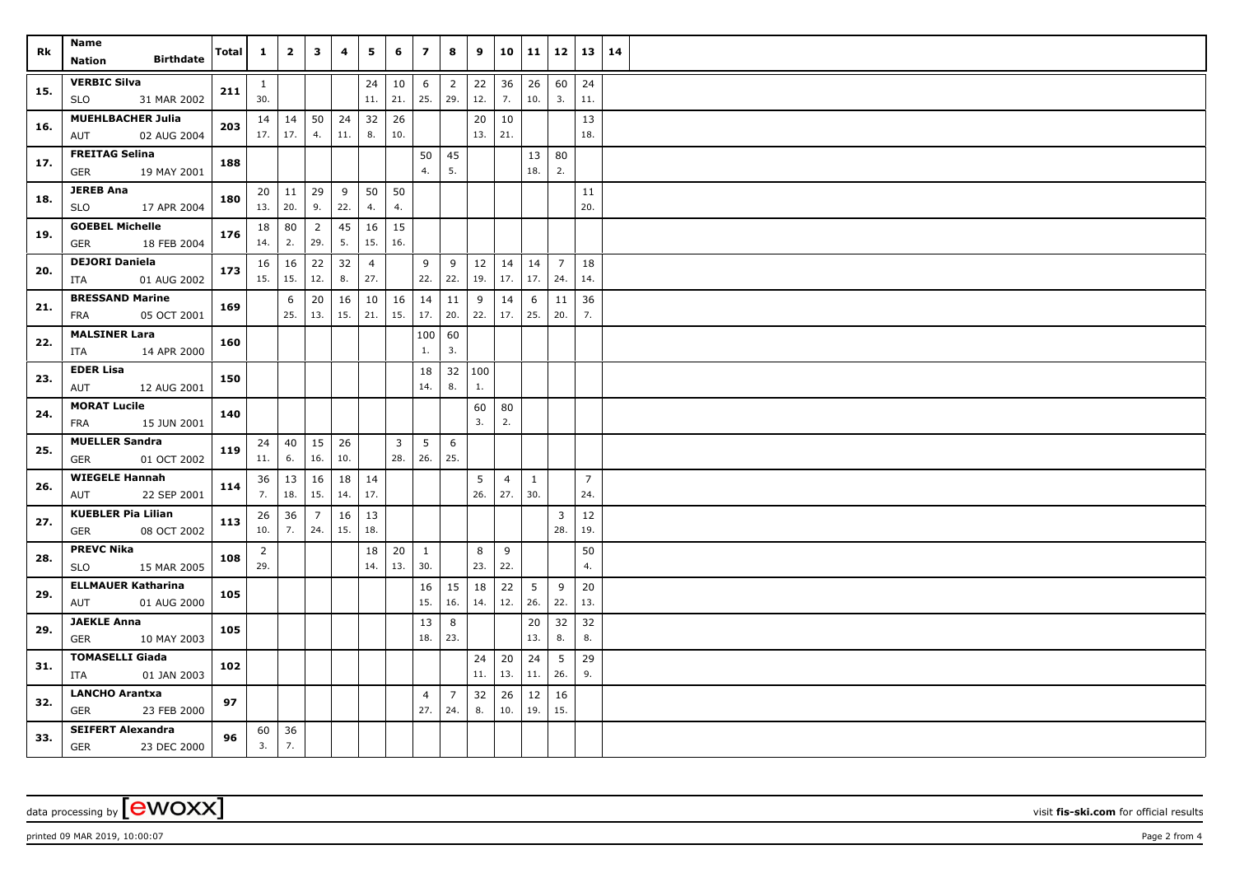| Rk  | Name<br><b>Birthdate</b>                              | Total | $\mathbf{1}$        | $\overline{2}$      | 3                     | 4         | 5                     | 6         | $\overline{ }$ | 8                     | 9         | 10             | 11             | 12                    | 13             | 14 |  |
|-----|-------------------------------------------------------|-------|---------------------|---------------------|-----------------------|-----------|-----------------------|-----------|----------------|-----------------------|-----------|----------------|----------------|-----------------------|----------------|----|--|
|     | <b>Nation</b>                                         |       |                     |                     |                       |           |                       |           |                |                       |           |                |                |                       |                |    |  |
| 15. | <b>VERBIC Silva</b><br><b>SLO</b><br>31 MAR 2002      | 211   | $\mathbf{1}$<br>30. |                     |                       |           | 24<br>11.             | 10<br>21. | 6<br>25.       | $\overline{2}$<br>29. | 22<br>12. | 36<br>7.       | 26<br>10.      | 60<br>3.              | 24<br>11.      |    |  |
| 16. | <b>MUEHLBACHER Julia</b><br>AUT<br>02 AUG 2004        | 203   | 17.                 | $14 \mid 14$<br>17. | 50<br>4.              | 24<br>11. | 32<br>8.              | 26<br>10. |                |                       | 20<br>13. | 10<br>21.      |                |                       | 13<br>18.      |    |  |
| 17. | <b>FREITAG Selina</b><br>19 MAY 2001<br>GER           | 188   |                     |                     |                       |           |                       |           | 50<br>4.       | 45<br>5.              |           |                | 13<br>18.      | 80<br>2.              |                |    |  |
| 18. | <b>JEREB Ana</b><br><b>SLO</b><br>17 APR 2004         | 180   | 13.   20.           | $20 \mid 11$        | 29<br>9.              | 9<br>22.  | 50<br>4.              | 50<br>4.  |                |                       |           |                |                |                       | 11<br>20.      |    |  |
|     |                                                       |       |                     |                     |                       |           |                       |           |                |                       |           |                |                |                       |                |    |  |
| 19. | <b>GOEBEL Michelle</b><br>18 FEB 2004<br>GER          | 176   | 18<br>14.           | 80<br>2.            | $\overline{2}$<br>29. | 45<br>5.  | 16<br>15.             | 15<br>16. |                |                       |           |                |                |                       |                |    |  |
| 20. | <b>DEJORI Daniela</b><br>01 AUG 2002<br>ITA           | 173   | 15.                 | $16 \mid 16$<br>15. | 22<br>12.             | 32<br>8.  | $\overline{4}$<br>27. |           | 9<br>22.       | 9<br>22.              | 12<br>19. | 14<br>17.      | 14<br>17.      | $\overline{7}$<br>24. | 18<br>14.      |    |  |
| 21. | <b>BRESSAND Marine</b>                                | 169   |                     | 6                   | $20\,$                | 16        | 10                    | 16        | 14             | 11                    | 9         | 14             | 6              | 11                    | 36             |    |  |
|     | 05 OCT 2001<br>FRA                                    |       |                     | 25.                 | 13.                   | 15.       | 21.                   | 15.       | 17.            | 20.                   | 22.       | 17.            | 25.            | 20.                   | 7.             |    |  |
| 22. | <b>MALSINER Lara</b>                                  | 160   |                     |                     |                       |           |                       |           | 100            | 60                    |           |                |                |                       |                |    |  |
|     | 14 APR 2000<br>ITA                                    |       |                     |                     |                       |           |                       |           | 1.             | 3.                    |           |                |                |                       |                |    |  |
| 23. | <b>EDER Lisa</b>                                      | 150   |                     |                     |                       |           |                       |           | 18             |                       | 32   100  |                |                |                       |                |    |  |
|     | AUT<br>12 AUG 2001                                    |       |                     |                     |                       |           |                       |           | 14.            | 8.                    | 1.        |                |                |                       |                |    |  |
| 24. | <b>MORAT Lucile</b><br>FRA<br>15 JUN 2001             | 140   |                     |                     |                       |           |                       |           |                |                       | 60<br>3.  | 80<br>2.       |                |                       |                |    |  |
| 25. | <b>MUELLER Sandra</b><br><b>GER</b><br>01 OCT 2002    | 119   | 24<br>11.           | 40<br>6.            | 15<br>16.             | 26<br>10. |                       | 3<br>28.  | 5<br>26.       | 6<br>25.              |           |                |                |                       |                |    |  |
|     | <b>WIEGELE Hannah</b>                                 | 114   | 36                  | 13                  | 16                    | 18        | 14                    |           |                |                       | 5         | $\overline{4}$ | $\mathbf{1}$   |                       | $\overline{7}$ |    |  |
| 26. | 22 SEP 2001<br>AUT                                    |       | 7.                  | 18.                 | 15.                   | 14.       | 17.                   |           |                |                       | 26.       | 27.            | 30.            |                       | 24.            |    |  |
| 27. | <b>KUEBLER Pia Lilian</b>                             | 113   | 26                  | 36                  | 7                     | 16        | 13                    |           |                |                       |           |                |                | 3                     | 12             |    |  |
|     | 08 OCT 2002<br>GER                                    |       | 10.                 | 7.                  | 24.                   | 15.       | 18.                   |           |                |                       |           |                |                | 28.                   | 19.            |    |  |
| 28. | <b>PREVC Nika</b>                                     | 108   | 2                   |                     |                       |           | 18                    | 20        | $\mathbf{1}$   |                       | 8         | 9              |                |                       | 50             |    |  |
|     | 15 MAR 2005<br>SLO                                    |       | 29.                 |                     |                       |           | 14.                   | 13.       | 30.            |                       | 23.       | 22.            |                |                       | 4.             |    |  |
| 29. | <b>ELLMAUER Katharina</b>                             | 105   |                     |                     |                       |           |                       |           | 16             | 15                    | 18        | 22             | 5 <sup>5</sup> | 9                     | 20             |    |  |
|     | 01 AUG 2000<br>AUT                                    |       |                     |                     |                       |           |                       |           | 15.            | 16.                   | 14.       | 12.            | 26.            | 22.                   | 13.            |    |  |
| 29. | <b>JAEKLE Anna</b>                                    | 105   |                     |                     |                       |           |                       |           | 13             | 8                     |           |                | 20             | 32                    | 32             |    |  |
|     | GER<br>10 MAY 2003                                    |       |                     |                     |                       |           |                       |           | 18.            | 23.                   |           |                | 13.            | 8.                    | 8.             |    |  |
| 31. | <b>TOMASELLI Giada</b><br>01 JAN 2003<br>ITA          | 102   |                     |                     |                       |           |                       |           |                |                       | 24<br>11. | 20<br>13.      | 24<br>11.      | 5<br>26.              | 29<br>9.       |    |  |
|     | <b>LANCHO Arantxa</b>                                 |       |                     |                     |                       |           |                       |           | 4              | $\overline{7}$        | 32        | 26             | 12             | 16                    |                |    |  |
| 32. | GER<br>23 FEB 2000                                    | 97    |                     |                     |                       |           |                       |           | 27.            | 24.                   | 8.        | 10.            | 19.            | 15.                   |                |    |  |
| 33. | <b>SEIFERT Alexandra</b><br><b>GER</b><br>23 DEC 2000 | 96    | 60<br>3.            | 36<br>7.            |                       |           |                       |           |                |                       |           |                |                |                       |                |    |  |

data processing by **CWOXX** visit **fis-ski.com** for official results

printed 09 MAR 2019, 10:00:07 **Page 2** from 4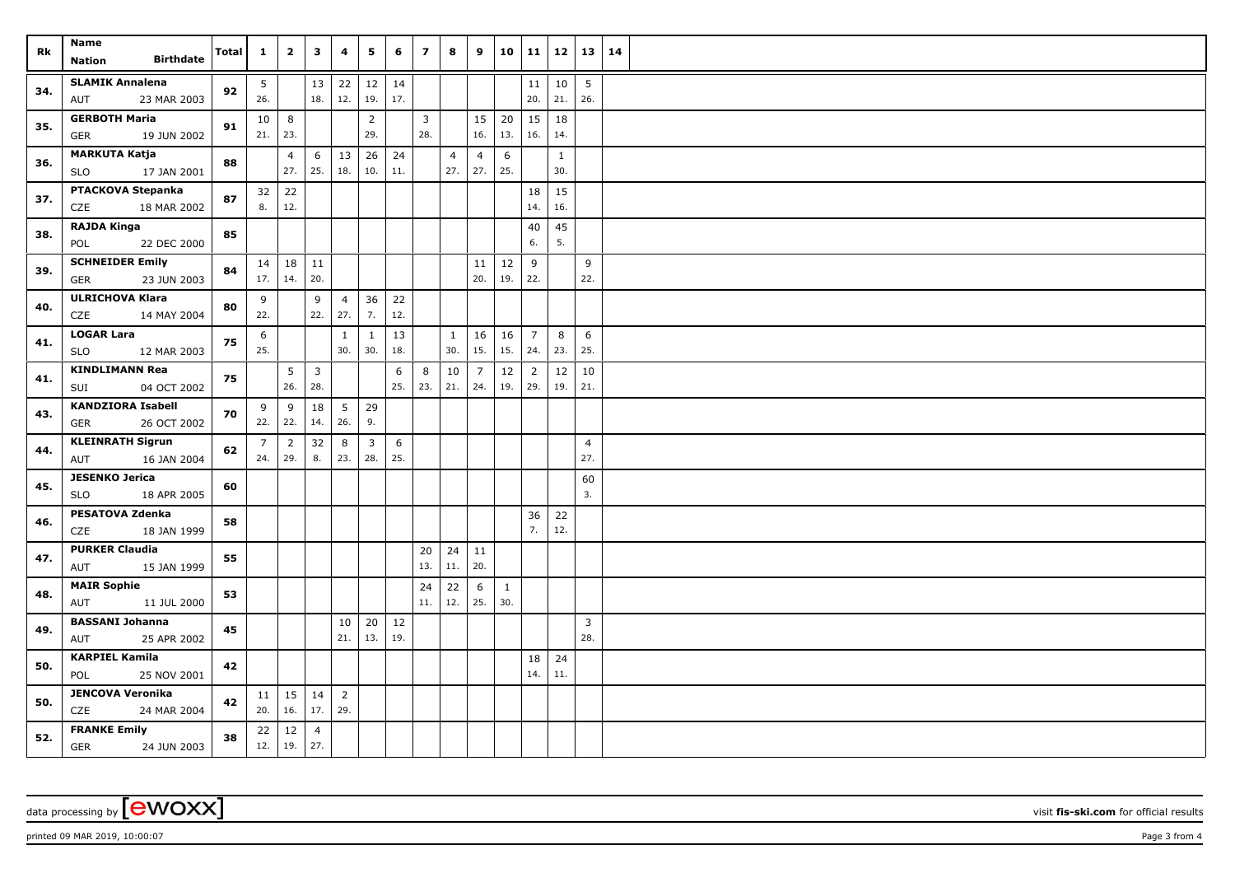| Rk  | Name<br><b>Birthdate</b><br><b>Nation</b>             | <b>Total</b> | $\mathbf{1}$           | $\overline{2}$        | 3                       | 4                     | 5                              | 6         | $\overline{z}$        | 8              | 9                           | 10                  | 11             | 12                  | 13                    | 14 |  |
|-----|-------------------------------------------------------|--------------|------------------------|-----------------------|-------------------------|-----------------------|--------------------------------|-----------|-----------------------|----------------|-----------------------------|---------------------|----------------|---------------------|-----------------------|----|--|
|     |                                                       |              |                        |                       |                         |                       |                                |           |                       |                |                             |                     |                |                     |                       |    |  |
| 34. | <b>SLAMIK Annalena</b><br>23 MAR 2003<br>AUT          | 92           | 5 <sub>5</sub><br>26.  |                       | 13<br>18.               | 22<br>12.             | 12<br>19.                      | 14<br>17. |                       |                |                             |                     | 11<br>20.      | 10<br>21.           | $\vert$ 5<br>26.      |    |  |
| 35. | <b>GERBOTH Maria</b><br><b>GER</b><br>19 JUN 2002     | 91           | 10 <sup>1</sup><br>21. | 8<br>23.              |                         |                       | $\overline{2}$<br>29.          |           | $\overline{3}$<br>28. |                | 15<br>16.                   | 20<br>13.           | 15<br>16.      | 18<br>14.           |                       |    |  |
| 36. | <b>MARKUTA Katja</b><br>17 JAN 2001<br><b>SLO</b>     | 88           |                        | $\overline{4}$<br>27. | 6<br>25.                | 13<br>18.             | 26<br>10.                      | 24<br>11. |                       | $\overline{4}$ | $\overline{4}$<br>$27.$ 27. | 6<br>25.            |                | $\mathbf{1}$<br>30. |                       |    |  |
| 37. | PTACKOVA Stepanka                                     | 87           | 32                     | 22                    |                         |                       |                                |           |                       |                |                             |                     | 18             | 15                  |                       |    |  |
|     | CZE<br>18 MAR 2002                                    |              | 8.                     | 12.                   |                         |                       |                                |           |                       |                |                             |                     | 14.            | 16.                 |                       |    |  |
| 38. | <b>RAJDA Kinga</b><br>POL<br>22 DEC 2000              | 85           |                        |                       |                         |                       |                                |           |                       |                |                             |                     | 40<br>6.       | 45<br>5.            |                       |    |  |
| 39. | <b>SCHNEIDER Emily</b><br>23 JUN 2003<br>GER          | 84           | 17.                    | $14 \mid 18$<br>14.   | $11\,$<br>20.           |                       |                                |           |                       |                | 11<br>20.                   | 12<br>19.           | 9<br>22.       |                     | 9<br>22.              |    |  |
| 40. | <b>ULRICHOVA Klara</b><br>CZE<br>14 MAY 2004          | 80           | 9<br>22.               |                       | 9<br>22.                | $\overline{4}$<br>27. | 36<br>7.                       | 22<br>12. |                       |                |                             |                     |                |                     |                       |    |  |
|     | <b>LOGAR Lara</b>                                     |              | 6                      |                       |                         | $\mathbf{1}$          | $\mathbf{1}$                   | 13        |                       | $\mathbf{1}$   | 16                          | 16                  | $\overline{7}$ | 8                   | 6                     |    |  |
| 41. | <b>SLO</b><br>12 MAR 2003                             | 75           | 25.                    |                       |                         | 30.                   | 30.                            | 18.       |                       | 30.            | 15.                         | 15.                 | 24.            | 23.                 | 25.                   |    |  |
| 41. | <b>KINDLIMANN Rea</b>                                 |              |                        | $5\phantom{.0}$       | $\overline{\mathbf{3}}$ |                       |                                | 6         | 8                     | 10             | $\overline{7}$              | 12                  | $\overline{2}$ | 12                  | 10                    |    |  |
|     | 04 OCT 2002<br>SUI                                    | 75           |                        | 26.                   | 28.                     |                       |                                | 25.       | 23.                   | 21.            | 24.                         | 19.                 | 29.            | 19.                 | 21.                   |    |  |
| 43. | <b>KANDZIORA Isabell</b><br>26 OCT 2002<br><b>GER</b> | 70           | 9<br>$22.$ 22.         | 9                     | 18<br>14.               | 5 <sup>5</sup><br>26. | 29<br>9.                       |           |                       |                |                             |                     |                |                     |                       |    |  |
| 44. | <b>KLEINRATH Sigrun</b><br>AUT<br>16 JAN 2004         | 62           | $\overline{7}$<br>24.  | $\overline{2}$<br>29. | 32<br>8.                | 8<br>23.              | $\overline{\mathbf{3}}$<br>28. | 6<br>25.  |                       |                |                             |                     |                |                     | $\overline{4}$<br>27. |    |  |
| 45. | <b>JESENKO Jerica</b><br>18 APR 2005<br>SLO           | 60           |                        |                       |                         |                       |                                |           |                       |                |                             |                     |                |                     | 60<br>3.              |    |  |
| 46. | <b>PESATOVA Zdenka</b><br>18 JAN 1999<br>CZE          | 58           |                        |                       |                         |                       |                                |           |                       |                |                             |                     | 36<br>7.       | 22<br>12.           |                       |    |  |
| 47. | <b>PURKER Claudia</b><br>15 JAN 1999<br>AUT           | 55           |                        |                       |                         |                       |                                |           | 20<br>13.             | 24<br>11.      | 11<br>20.                   |                     |                |                     |                       |    |  |
| 48. | <b>MAIR Sophie</b><br>11 JUL 2000<br>AUT              | 53           |                        |                       |                         |                       |                                |           | 24<br>11.             | 22<br>12.      | 6<br>25.                    | $\mathbf{1}$<br>30. |                |                     |                       |    |  |
| 49. | <b>BASSANI Johanna</b><br>25 APR 2002<br>AUT          | 45           |                        |                       |                         | 10<br>21.             | 20<br>13.                      | 12<br>19. |                       |                |                             |                     |                |                     | $\overline{3}$<br>28. |    |  |
| 50. | <b>KARPIEL Kamila</b>                                 | 42           |                        |                       |                         |                       |                                |           |                       |                |                             |                     | 18             | 24                  |                       |    |  |
|     | 25 NOV 2001<br>POL                                    |              |                        |                       |                         |                       |                                |           |                       |                |                             |                     | 14.            | 11.                 |                       |    |  |
| 50. | <b>JENCOVA Veronika</b><br>CZE<br>24 MAR 2004         | 42           | 20.                    | $11 \mid 15$<br>16.   | 14<br>17.               | $\overline{2}$<br>29. |                                |           |                       |                |                             |                     |                |                     |                       |    |  |
| 52. | <b>FRANKE Emily</b><br><b>GER</b><br>24 JUN 2003      | 38           | 12.                    | $22 \mid 12$<br> 19.  | $\overline{4}$<br>27.   |                       |                                |           |                       |                |                             |                     |                |                     |                       |    |  |

data processing by **CWOXX** visit **fis-ski.com** for official results

printed 09 MAR 2019, 10:00:07 **Page 3** from 4